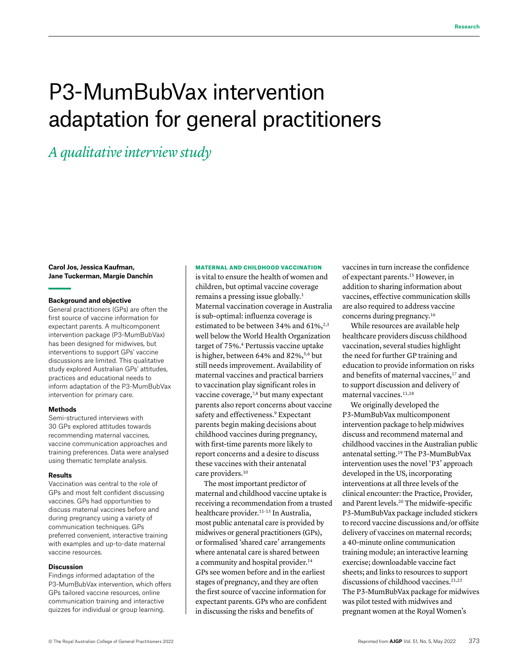# P3-MumBubVax intervention adaptation for general practitioners

*A qualitative interview study*

**Carol Jos, Jessica Kaufman, Jane Tuckerman, Margie Danchin**

#### **Background and objective**

General practitioners (GPs) are often the first source of vaccine information for expectant parents. A multicomponent intervention package (P3-MumBubVax) has been designed for midwives, but interventions to support GPs' vaccine discussions are limited. This qualitative study explored Australian GPs' attitudes, practices and educational needs to inform adaptation of the P3-MumBubVax intervention for primary care.

#### **Methods**

Semi-structured interviews with 30 GPs explored attitudes towards recommending maternal vaccines, vaccine communication approaches and training preferences. Data were analysed using thematic template analysis.

#### **Results**

Vaccination was central to the role of GPs and most felt confident discussing vaccines. GPs had opportunities to discuss maternal vaccines before and during pregnancy using a variety of communication techniques. GPs preferred convenient, interactive training with examples and up-to-date maternal vaccine resources.

## **Discussion**

Findings informed adaptation of the P3-MumBubVax intervention, which offers GPs tailored vaccine resources, online communication training and interactive quizzes for individual or group learning.

## MATERNAL AND CHILDHOOD VACCINATION

is vital to ensure the health of women and children, but optimal vaccine coverage remains a pressing issue globally.1 Maternal vaccination coverage in Australia is sub-optimal: influenza coverage is estimated to be between 34% and  $61\%^{2,3}$ well below the World Health Organization target of 75%.4 Pertussis vaccine uptake is higher, between  $64\%$  and  $82\%$ ,  $5.6$  but still needs improvement. Availability of maternal vaccines and practical barriers to vaccination play significant roles in vaccine coverage,<sup>7,8</sup> but many expectant parents also report concerns about vaccine safety and effectiveness.<sup>9</sup> Expectant parents begin making decisions about childhood vaccines during pregnancy, with first-time parents more likely to report concerns and a desire to discuss these vaccines with their antenatal care providers.<sup>10</sup>

The most important predictor of maternal and childhood vaccine uptake is receiving a recommendation from a trusted healthcare provider.11–13 In Australia, most public antenatal care is provided by midwives or general practitioners (GPs), or formalised 'shared care' arrangements where antenatal care is shared between a community and hospital provider.<sup>14</sup> GPs see women before and in the earliest stages of pregnancy, and they are often the first source of vaccine information for expectant parents. GPs who are confident in discussing the risks and benefits of

vaccines in turn increase the confidence of expectant parents.15 However, in addition to sharing information about vaccines, effective communication skills are also required to address vaccine concerns during pregnancy.16

While resources are available help healthcare providers discuss childhood vaccination, several studies highlight the need for further GP training and education to provide information on risks and benefits of maternal vaccines,<sup>17</sup> and to support discussion and delivery of maternal vaccines.<sup>11,18</sup>

We originally developed the P3-MumBubVax multicomponent intervention package to help midwives discuss and recommend maternal and childhood vaccines in the Australian public antenatal setting.19 The P3-MumBubVax intervention uses the novel 'P3' approach developed in the US, incorporating interventions at all three levels of the clinical encounter: the Practice, Provider, and Parent levels.20 The midwife-specific P3-MumBubVax package included stickers to record vaccine discussions and/or offsite delivery of vaccines on maternal records; a 40-minute online communication training module; an interactive learning exercise; downloadable vaccine fact sheets; and links to resources to support discussions of childhood vaccines.<sup>21,22</sup> The P3-MumBubVax package for midwives was pilot tested with midwives and pregnant women at the Royal Women's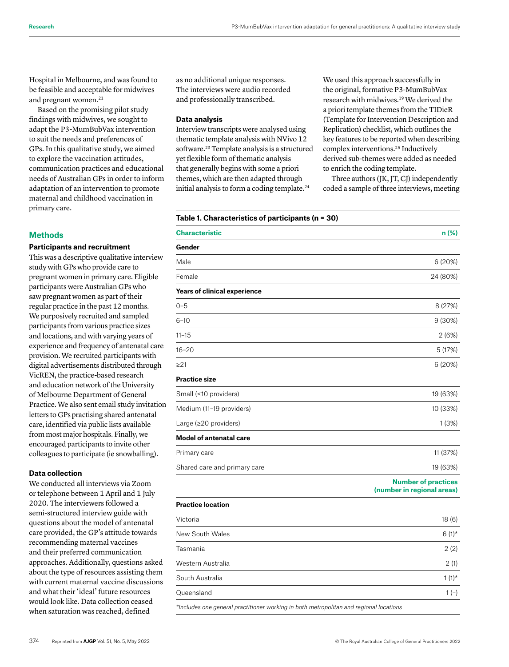Hospital in Melbourne, and was found to be feasible and acceptable for midwives and pregnant women.<sup>21</sup>

Based on the promising pilot study findings with midwives, we sought to adapt the P3-MumBubVax intervention to suit the needs and preferences of GPs. In this qualitative study, we aimed to explore the vaccination attitudes, communication practices and educational needs of Australian GPs in order to inform adaptation of an intervention to promote maternal and childhood vaccination in primary care.

# **Methods**

# **Participants and recruitment**

This was a descriptive qualitative interview study with GPs who provide care to pregnant women in primary care. Eligible participants were Australian GPs who saw pregnant women as part of their regular practice in the past 12 months. We purposively recruited and sampled participants from various practice sizes and locations, and with varying years of experience and frequency of antenatal care provision. We recruited participants with digital advertisements distributed through VicREN, the practice-based research and education network of the University of Melbourne Department of General Practice. We also sent email study invitation letters to GPs practising shared antenatal care, identified via public lists available from most major hospitals. Finally, we encouraged participants to invite other colleagues to participate (ie snowballing).

# **Data collection**

We conducted all interviews via Zoom or telephone between 1 April and 1 July 2020. The interviewers followed a semi-structured interview guide with questions about the model of antenatal care provided, the GP's attitude towards recommending maternal vaccines and their preferred communication approaches. Additionally, questions asked about the type of resources assisting them with current maternal vaccine discussions and what their 'ideal' future resources would look like. Data collection ceased when saturation was reached, defined

as no additional unique responses. The interviews were audio recorded and professionally transcribed.

## **Data analysis**

Interview transcripts were analysed using thematic template analysis with NVivo 12 software.<sup>23</sup> Template analysis is a structured yet flexible form of thematic analysis that generally begins with some a priori themes, which are then adapted through initial analysis to form a coding template.<sup>24</sup>

We used this approach successfully in the original, formative P3-MumBubVax research with midwives.19 We derived the a priori template themes from the TIDieR (Template for Intervention Description and Replication) checklist, which outlines the key features to be reported when describing complex interventions.25 Inductively derived sub-themes were added as needed to enrich the coding template.

Three authors (JK, JT, CJ) independently coded a sample of three interviews, meeting

# **Table 1. Characteristics of participants (n = 30)**

| <b>Characteristic</b>               | $n$ (%)                                                  |
|-------------------------------------|----------------------------------------------------------|
| Gender                              |                                                          |
| Male                                | 6 (20%)                                                  |
| Female                              | 24 (80%)                                                 |
| <b>Years of clinical experience</b> |                                                          |
| $0 - 5$                             | 8 (27%)                                                  |
| $6 - 10$                            | 9(30%)                                                   |
| $11 - 15$                           | 2(6%)                                                    |
| $16 - 20$                           | 5 (17%)                                                  |
| >21                                 | 6 (20%)                                                  |
| <b>Practice size</b>                |                                                          |
| Small (≤10 providers)               | 19 (63%)                                                 |
| Medium (11-19 providers)            | 10 (33%)                                                 |
| Large (≥20 providers)               | 1(3%)                                                    |
| <b>Model of antenatal care</b>      |                                                          |
| Primary care                        | 11 (37%)                                                 |
| Shared care and primary care        | 19 (63%)                                                 |
|                                     | <b>Number of practices</b><br>(number in regional areas) |
| <b>Practice location</b>            |                                                          |
| Victoria                            | 18 (6)                                                   |
| New South Wales                     | $6(1)$ *                                                 |
| Tasmania                            | 2(2)                                                     |
| Western Australia                   | 2(1)                                                     |
| South Australia                     | $1(1)^*$                                                 |
| Queensland                          | $1(-)$                                                   |
|                                     |                                                          |

*\*Includes one general practitioner working in both metropolitan and regional locations*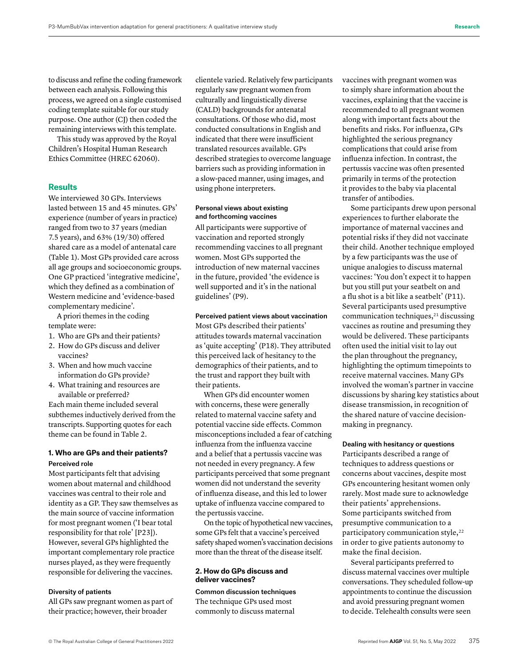to discuss and refine the coding framework between each analysis. Following this process, we agreed on a single customised coding template suitable for our study purpose. One author (CJ) then coded the remaining interviews with this template.

This study was approved by the Royal Children's Hospital Human Research Ethics Committee (HREC 62060).

## **Results**

We interviewed 30 GPs. Interviews lasted between 15 and 45 minutes. GPs' experience (number of years in practice) ranged from two to 37 years (median 7.5 years), and 63% (19/30) offered shared care as a model of antenatal care (Table 1). Most GPs provided care across all age groups and socioeconomic groups. One GP practiced 'integrative medicine', which they defined as a combination of Western medicine and 'evidence-based complementary medicine'.

A priori themes in the coding template were:

- 1. Who are GPs and their patients?
- 2. How do GPs discuss and deliver vaccines?
- 3. When and how much vaccine information do GPs provide?
- 4. What training and resources are available or preferred?

Each main theme included several subthemes inductively derived from the transcripts. Supporting quotes for each theme can be found in Table 2.

# **1. Who are GPs and their patients?** Perceived role

Most participants felt that advising women about maternal and childhood vaccines was central to their role and identity as a GP. They saw themselves as the main source of vaccine information for most pregnant women ('I bear total responsibility for that role' [P23]). However, several GPs highlighted the important complementary role practice nurses played, as they were frequently responsible for delivering the vaccines.

# Diversity of patients

All GPs saw pregnant women as part of their practice; however, their broader

clientele varied. Relatively few participants regularly saw pregnant women from culturally and linguistically diverse (CALD) backgrounds for antenatal consultations. Of those who did, most conducted consultations in English and indicated that there were insufficient translated resources available. GPs described strategies to overcome language barriers such as providing information in a slow-paced manner, using images, and using phone interpreters.

# Personal views about existing and forthcoming vaccines

All participants were supportive of vaccination and reported strongly recommending vaccines to all pregnant women. Most GPs supported the introduction of new maternal vaccines in the future, provided 'the evidence is well supported and it's in the national guidelines' (P9).

# Perceived patient views about vaccination

Most GPs described their patients' attitudes towards maternal vaccination as 'quite accepting' (P18). They attributed this perceived lack of hesitancy to the demographics of their patients, and to the trust and rapport they built with their patients.

When GPs did encounter women with concerns, these were generally related to maternal vaccine safety and potential vaccine side effects. Common misconceptions included a fear of catching influenza from the influenza vaccine and a belief that a pertussis vaccine was not needed in every pregnancy. A few participants perceived that some pregnant women did not understand the severity of influenza disease, and this led to lower uptake of influenza vaccine compared to the pertussis vaccine.

On the topic of hypothetical new vaccines, some GPs felt that a vaccine's perceived safety shaped women's vaccination decisions more than the threat of the disease itself.

# **2. How do GPs discuss and deliver vaccines?**

Common discussion techniques The technique GPs used most commonly to discuss maternal

vaccines with pregnant women was to simply share information about the vaccines, explaining that the vaccine is recommended to all pregnant women along with important facts about the benefits and risks. For influenza, GPs highlighted the serious pregnancy complications that could arise from influenza infection. In contrast, the pertussis vaccine was often presented primarily in terms of the protection it provides to the baby via placental transfer of antibodies.

Some participants drew upon personal experiences to further elaborate the importance of maternal vaccines and potential risks if they did not vaccinate their child. Another technique employed by a few participants was the use of unique analogies to discuss maternal vaccines: 'You don't expect it to happen but you still put your seatbelt on and a flu shot is a bit like a seatbelt' (P11). Several participants used presumptive communication techniques,<sup>21</sup> discussing vaccines as routine and presuming they would be delivered. These participants often used the initial visit to lay out the plan throughout the pregnancy, highlighting the optimum timepoints to receive maternal vaccines. Many GPs involved the woman's partner in vaccine discussions by sharing key statistics about disease transmission, in recognition of the shared nature of vaccine decisionmaking in pregnancy.

#### Dealing with hesitancy or questions

Participants described a range of techniques to address questions or concerns about vaccines, despite most GPs encountering hesitant women only rarely. Most made sure to acknowledge their patients' apprehensions. Some participants switched from presumptive communication to a participatory communication style,<sup>22</sup> in order to give patients autonomy to make the final decision.

Several participants preferred to discuss maternal vaccines over multiple conversations. They scheduled follow-up appointments to continue the discussion and avoid pressuring pregnant women to decide. Telehealth consults were seen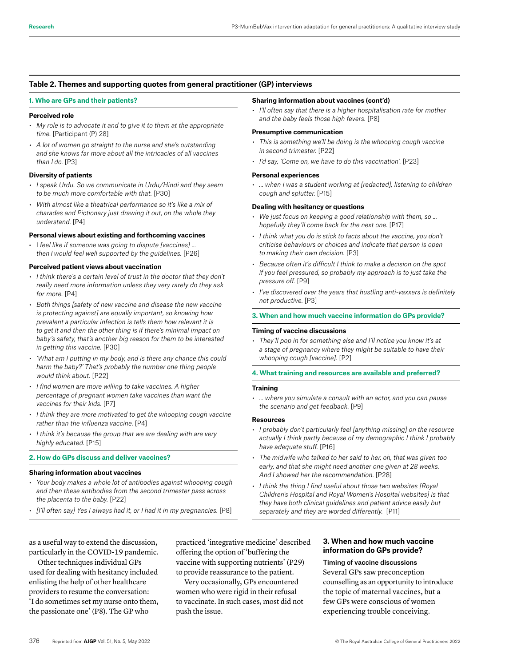## **Table 2. Themes and supporting quotes from general practitioner (GP) interviews**

#### **1. Who are GPs and their patients?**

## **Perceived role**

- *• My role is to advocate it and to give it to them at the appropriate time.* [Participant (P) 28]
- *• A lot of women go straight to the nurse and she's outstanding and she knows far more about all the intricacies of all vaccines than I do.* [P3]

## **Diversity of patients**

- *• I speak Urdu. So we communicate in Urdu/Hindi and they seem to be much more comfortable with that.* [P30]
- *• With almost like a theatrical performance so it's like a mix of charades and Pictionary just drawing it out, on the whole they understand.* [P4]

#### **Personal views about existing and forthcoming vaccines**

• I *feel like if someone was going to dispute [vaccines] … then I would feel well supported by the guidelines.* [P26]

## **Perceived patient views about vaccination**

- *• I think there's a certain level of trust in the doctor that they don't really need more information unless they very rarely do they ask for more.* [P4]
- *• Both things [safety of new vaccine and disease the new vaccine is protecting against] are equally important, so knowing how prevalent a particular infection is tells them how relevant it is to get it and then the other thing is if there's minimal impact on baby's safety, that's another big reason for them to be interested in getting this vaccine.* [P30]
- *• 'What am I putting in my body, and is there any chance this could harm the baby?' That's probably the number one thing people would think about.* [P22]
- *• I find women are more willing to take vaccines. A higher percentage of pregnant women take vaccines than want the vaccines for their kids.* [P7]
- *• I think they are more motivated to get the whooping cough vaccine rather than the influenza vaccine.* [P4]
- *• I think it's because the group that we are dealing with are very highly educated.* [P15]

## **2. How do GPs discuss and deliver vaccines?**

#### **Sharing information about vaccines**

- *• Your body makes a whole lot of antibodies against whooping cough and then these antibodies from the second trimester pass across the placenta to the baby.* [P22]
- *• [I'll often say] Yes I always had it, or I had it in my pregnancies.* [P8]

as a useful way to extend the discussion, particularly in the COVID-19 pandemic.

Other techniques individual GPs used for dealing with hesitancy included enlisting the help of other healthcare providers to resume the conversation: 'I do sometimes set my nurse onto them, the passionate one' (P8). The GP who

practiced 'integrative medicine' described offering the option of 'buffering the vaccine with supporting nutrients' (P29) to provide reassurance to the patient.

Very occasionally, GPs encountered women who were rigid in their refusal to vaccinate. In such cases, most did not push the issue.

#### **Sharing information about vaccines (cont'd)**

*• I'll often say that there is a higher hospitalisation rate for mother and the baby feels those high fevers.* [P8]

## **Presumptive communication**

- *• This is something we'll be doing is the whooping cough vaccine in second trimester.* [P22]
- *• I'd say, 'Come on, we have to do this vaccination'.* [P23]

## **Personal experiences**

*• … when I was a student working at [redacted], listening to children cough and splutter.* [P15]

#### **Dealing with hesitancy or questions**

- *• We just focus on keeping a good relationship with them, so … hopefully they'll come back for the next one.* [P17]
- *• I think what you do is stick to facts about the vaccine, you don't criticise behaviours or choices and indicate that person is open to making their own decision.* [P3]
- *• Because often it's difficult I think to make a decision on the spot if you feel pressured, so probably my approach is to just take the pressure off.* [P9]
- *• I've discovered over the years that hustling anti-vaxxers is definitely not productive.* [P3]

#### **3. When and how much vaccine information do GPs provide?**

#### **Timing of vaccine discussions**

*• They'll pop in for something else and I'll notice you know it's at a stage of pregnancy where they might be suitable to have their whooping cough [vaccine].* [P2]

## **4. What training and resources are available and preferred?**

#### **Training**

*• … where you simulate a consult with an actor, and you can pause the scenario and get feedback.* [P9]

#### **Resources**

- *• I probably don't particularly feel [anything missing] on the resource actually I think partly because of my demographic I think I probably have adequate stuff.* [P16]
- *• The midwife who talked to her said to her, oh, that was given too early, and that she might need another one given at 28 weeks. And I showed her the recommendation.* [P28]
- *• I think the thing I find useful about those two websites [Royal Children's Hospital and Royal Women's Hospital websites] is that they have both clinical guidelines and patient advice easily but separately and they are worded differently.* [P11]

# **3. When and how much vaccine information do GPs provide?**

# Timing of vaccine discussions

Several GPs saw preconception counselling as an opportunity to introduce the topic of maternal vaccines, but a few GPs were conscious of women experiencing trouble conceiving.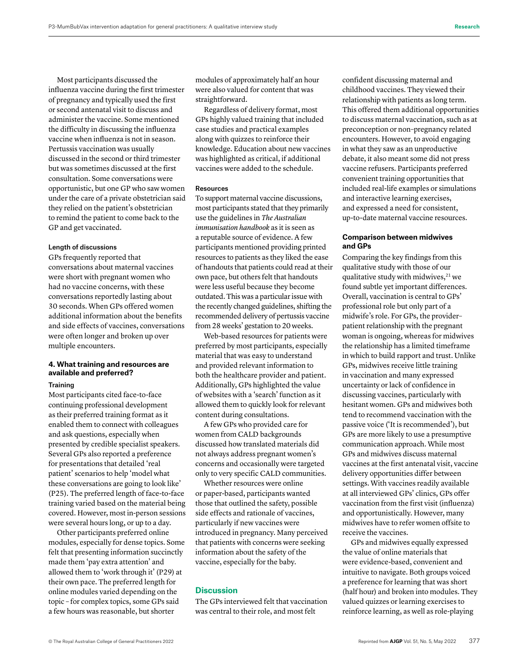Most participants discussed the influenza vaccine during the first trimester of pregnancy and typically used the first or second antenatal visit to discuss and administer the vaccine. Some mentioned the difficulty in discussing the influenza vaccine when influenza is not in season. Pertussis vaccination was usually discussed in the second or third trimester but was sometimes discussed at the first consultation. Some conversations were opportunistic, but one GP who saw women under the care of a private obstetrician said they relied on the patient's obstetrician to remind the patient to come back to the GP and get vaccinated.

## Length of discussions

GPs frequently reported that conversations about maternal vaccines were short with pregnant women who had no vaccine concerns, with these conversations reportedly lasting about 30 seconds. When GPs offered women additional information about the benefits and side effects of vaccines, conversations were often longer and broken up over multiple encounters.

# **4. What training and resources are available and preferred?**

## **Training**

Most participants cited face-to-face continuing professional development as their preferred training format as it enabled them to connect with colleagues and ask questions, especially when presented by credible specialist speakers. Several GPs also reported a preference for presentations that detailed 'real patient' scenarios to help 'model what these conversations are going to look like' (P25). The preferred length of face-to-face training varied based on the material being covered. However, most in-person sessions were several hours long, or up to a day.

Other participants preferred online modules, especially for dense topics. Some felt that presenting information succinctly made them 'pay extra attention' and allowed them to 'work through it' (P29) at their own pace. The preferred length for online modules varied depending on the topic – for complex topics, some GPs said a few hours was reasonable, but shorter

modules of approximately half an hour were also valued for content that was straightforward.

Regardless of delivery format, most GPs highly valued training that included case studies and practical examples along with quizzes to reinforce their knowledge. Education about new vaccines was highlighted as critical, if additional vaccines were added to the schedule.

## Resources

To support maternal vaccine discussions, most participants stated that they primarily use the guidelines in *The Australian immunisation handbook* as it is seen as a reputable source of evidence. A few participants mentioned providing printed resources to patients as they liked the ease of handouts that patients could read at their own pace, but others felt that handouts were less useful because they become outdated. This was a particular issue with the recently changed guidelines, shifting the recommended delivery of pertussis vaccine from 28 weeks' gestation to 20 weeks.

Web-based resources for patients were preferred by most participants, especially material that was easy to understand and provided relevant information to both the healthcare provider and patient. Additionally, GPs highlighted the value of websites with a 'search' function as it allowed them to quickly look for relevant content during consultations.

A few GPs who provided care for women from CALD backgrounds discussed how translated materials did not always address pregnant women's concerns and occasionally were targeted only to very specific CALD communities.

Whether resources were online or paper-based, participants wanted those that outlined the safety, possible side effects and rationale of vaccines, particularly if new vaccines were introduced in pregnancy. Many perceived that patients with concerns were seeking information about the safety of the vaccine, especially for the baby.

# **Discussion**

The GPs interviewed felt that vaccination was central to their role, and most felt

confident discussing maternal and childhood vaccines. They viewed their relationship with patients as long term. This offered them additional opportunities to discuss maternal vaccination, such as at preconception or non–pregnancy related encounters. However, to avoid engaging in what they saw as an unproductive debate, it also meant some did not press vaccine refusers. Participants preferred convenient training opportunities that included real-life examples or simulations and interactive learning exercises, and expressed a need for consistent, up-to-date maternal vaccine resources.

# **Comparison between midwives and GPs**

Comparing the key findings from this qualitative study with those of our qualitative study with midwives, $21$  we found subtle yet important differences. Overall, vaccination is central to GPs' professional role but only part of a midwife's role. For GPs, the provider– patient relationship with the pregnant woman is ongoing, whereas for midwives the relationship has a limited timeframe in which to build rapport and trust. Unlike GPs, midwives receive little training in vaccination and many expressed uncertainty or lack of confidence in discussing vaccines, particularly with hesitant women. GPs and midwives both tend to recommend vaccination with the passive voice ('It is recommended'), but GPs are more likely to use a presumptive communication approach. While most GPs and midwives discuss maternal vaccines at the first antenatal visit, vaccine delivery opportunities differ between settings. With vaccines readily available at all interviewed GPs' clinics, GPs offer vaccination from the first visit (influenza) and opportunistically. However, many midwives have to refer women offsite to receive the vaccines.

GPs and midwives equally expressed the value of online materials that were evidence-based, convenient and intuitive to navigate. Both groups voiced a preference for learning that was short (half hour) and broken into modules. They valued quizzes or learning exercises to reinforce learning, as well as role-playing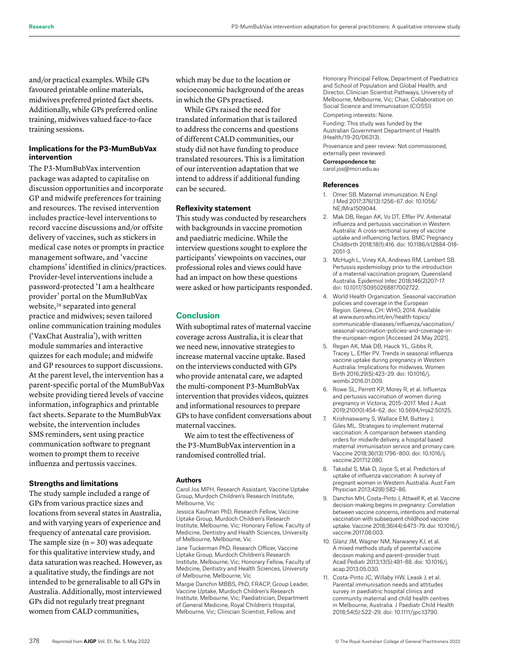and/or practical examples. While GPs favoured printable online materials, midwives preferred printed fact sheets. Additionally, while GPs preferred online training, midwives valued face-to-face training sessions.

# **Implications for the P3-MumBubVax intervention**

The P3-MumBubVax intervention package was adapted to capitalise on discussion opportunities and incorporate GP and midwife preferences for training and resources. The revised intervention includes practice-level interventions to record vaccine discussions and/or offsite delivery of vaccines, such as stickers in medical case notes or prompts in practice management software, and 'vaccine champions' identified in clinics/practices. Provider-level interventions include a password-protected 'I am a healthcare provider' portal on the MumBubVax website,<sup>26</sup> separated into general practice and midwives; seven tailored online communication training modules ('VaxChat Australia'), with written module summaries and interactive quizzes for each module; and midwife and GP resources to support discussions. At the parent level, the intervention has a parent-specific portal of the MumBubVax website providing tiered levels of vaccine information, infographics and printable fact sheets. Separate to the MumBubVax website, the intervention includes SMS reminders, sent using practice communication software to pregnant women to prompt them to receive influenza and pertussis vaccines.

# **Strengths and limitations**

The study sample included a range of GPs from various practice sizes and locations from several states in Australia, and with varying years of experience and frequency of antenatal care provision. The sample size  $(n = 30)$  was adequate for this qualitative interview study, and data saturation was reached. However, as a qualitative study, the findings are not intended to be generalisable to all GPs in Australia. Additionally, most interviewed GPs did not regularly treat pregnant women from CALD communities,

which may be due to the location or socioeconomic background of the areas in which the GPs practised.

While GPs raised the need for translated information that is tailored to address the concerns and questions of different CALD communities, our study did not have funding to produce translated resources. This is a limitation of our intervention adaptation that we intend to address if additional funding can be secured.

# **Reflexivity statement**

This study was conducted by researchers with backgrounds in vaccine promotion and paediatric medicine. While the interview questions sought to explore the participants' viewpoints on vaccines, our professional roles and views could have had an impact on how these questions were asked or how participants responded.

# **Conclusion**

With suboptimal rates of maternal vaccine coverage across Australia, it is clear that we need new, innovative strategies to increase maternal vaccine uptake. Based on the interviews conducted with GPs who provide antenatal care, we adapted the multi-component P3-MumBubVax intervention that provides videos, quizzes and informational resources to prepare GPs to have confident conversations about maternal vaccines.

We aim to test the effectiveness of the P3-MumBubVax intervention in a randomised controlled trial.

## **Authors**

Carol Jos MPH, Research Assistant, Vaccine Uptake Group, Murdoch Children's Research Institute, Melbourne, Vic

Jessica Kaufman PhD, Research Fellow, Vaccine Uptake Group, Murdoch Children's Research Institute, Melbourne, Vic; Honorary Fellow, Faculty of Medicine, Dentistry and Health Sciences, University of Melbourne, Melbourne, Vic

Jane Tuckerman PhD, Research Officer, Vaccine Uptake Group, Murdoch Children's Research Institute, Melbourne, Vic; Honorary Fellow, Faculty of Medicine, Dentistry and Health Sciences, University of Melbourne, Melbourne, Vic

Margie Danchin MBBS, PhD, FRACP, Group Leader, Vaccine Uptake, Murdoch Children's Research Institute, Melbourne, Vic; Paediatrician, Department of General Medicine, Royal Children's Hospital, Melbourne, Vic; Clinician Scientist, Fellow, and

Honorary Principal Fellow, Department of Paediatrics and School of Population and Global Health, and Director, Clinician Scientist Pathways, University of Melbourne, Melbourne, Vic; Chair, Collaboration on Social Science and Immunisation (COSSI)

Competing interests: None.

Funding: This study was funded by the Australian Government Department of Health (Health/19-20/06313).

Provenance and peer review: Not commissioned, externally peer reviewed.

## Correspondence to:

carol.jos@mcri.edu.au

#### **References**

- 1. Omer SB. Maternal immunization. N Engl J Med 2017;376(13):1256–67. doi: 10.1056/ NEJMra1509044.
- 2. Mak DB, Regan AK, Vo DT, Effler PV. Antenatal influenza and pertussis vaccination in Western Australia: A cross-sectional survey of vaccine uptake and influencing factors. BMC Pregnancy Childbirth 2018;18(1):416. doi: 10.1186/s12884-018- 2051-3.
- 3. McHugh L, Viney KA, Andrews RM, Lambert SB. Pertussis epidemiology prior to the introduction of a maternal vaccination program, Queensland Australia. Epidemiol Infec 2018;146(2)207–17. doi: 10.1017/S0950268817002722.
- 4. World Health Organization. Seasonal vaccination policies and coverage in the European Region. Geneva, CH: WHO, 2014. Available at www.euro.who.int/en/health-topics/ communicable-diseases/influenza/vaccination/ seasonal-vaccination-policies-and-coverage-inthe-european-region [Accessed 24 May 2021].
- 5. Regan AK, Mak DB, Hauck YL, Gibbs R, Tracey L, Effler PV. Trends in seasonal influenza vaccine uptake during pregnancy in Western Australia: Implications for midwives. Women Birth 2016;29(5):423–29. doi: 10.1016/j. wombi.2016.01.009.
- 6. Rowe SL, Perrett KP, Morey R, et al. Influenza and pertussis vaccination of women during pregnancy in Victoria, 2015–2017. Med J Aust 2019;210(10):454–62. doi: 10.5694/mja2.50125.
- 7. Krishnaswamy S, Wallace EM, Buttery J, Giles ML. Strategies to implement maternal vaccination: A comparison between standing orders for midwife delivery, a hospital based maternal immunisation service and primary care. Vaccine 2018;36(13):1796–800. doi: 10.1016/j. vaccine.2017.12.080.
- 8. Taksdal S, Mak D, Joyce S, et al. Predictors of uptake of influenza vaccination: A survey of pregnant women in Western Australia. Aust Fam Physician 2013;42(8):582–86.
- 9. Danchin MH, Costa-Pinto J, Attwell K, et al. Vaccine decision-making begins in pregnancy: Correlation between vaccine concerns, intentions and maternal vaccination with subsequent childhood vaccine uptake. Vaccine 2018;36(44):6473–79. doi: 10.1016/j. vaccine.2017.08.003.
- 10. Glanz JM, Wagner NM, Narwaney KJ, et al. A mixed methods study of parental vaccine decision making and parent–provider trust. Acad Pediatr 2013;13(5):481–88. doi: 10.1016/j. acap.2013.05.030.
- 11. Costa-Pinto JC, Willaby HW, Leask J, et al. Parental immunisation needs and attitudes survey in paediatric hospital clinics and community maternal and child health centres in Melbourne, Australia. J Paediatr Child Health 2018;54(5):522–29. doi: 10.1111/jpc.13790.